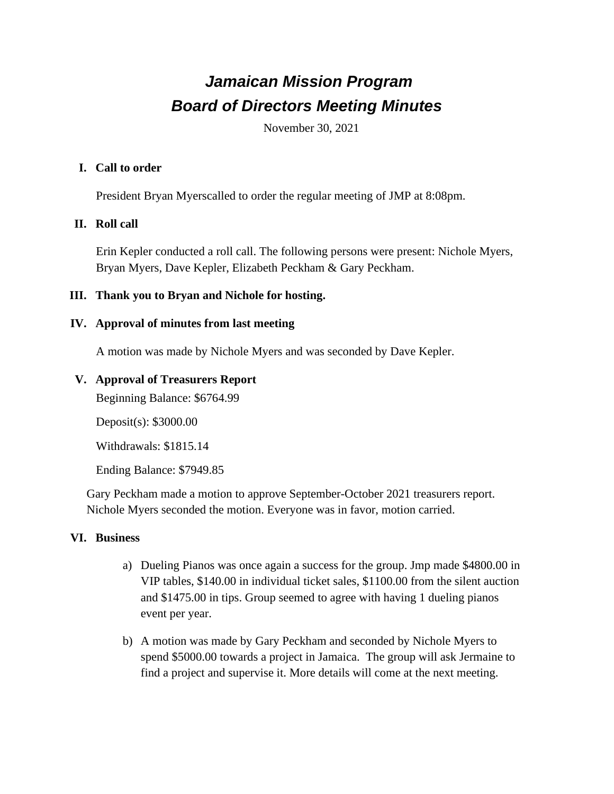# *Jamaican Mission Program Board of Directors Meeting Minutes*

November 30, 2021

#### **I. Call to order**

President Bryan Myerscalled to order the regular meeting of JMP at 8:08pm.

## **II. Roll call**

Erin Kepler conducted a roll call. The following persons were present: Nichole Myers, Bryan Myers, Dave Kepler, Elizabeth Peckham & Gary Peckham.

#### **III. Thank you to Bryan and Nichole for hosting.**

#### **IV. Approval of minutes from last meeting**

A motion was made by Nichole Myers and was seconded by Dave Kepler.

#### **V. Approval of Treasurers Report**

Beginning Balance: \$6764.99

Deposit(s): \$3000.00

Withdrawals: \$1815.14

Ending Balance: \$7949.85

Gary Peckham made a motion to approve September-October 2021 treasurers report. Nichole Myers seconded the motion. Everyone was in favor, motion carried.

## **VI. Business**

- a) Dueling Pianos was once again a success for the group. Jmp made \$4800.00 in VIP tables, \$140.00 in individual ticket sales, \$1100.00 from the silent auction and \$1475.00 in tips. Group seemed to agree with having 1 dueling pianos event per year.
- b) A motion was made by Gary Peckham and seconded by Nichole Myers to spend \$5000.00 towards a project in Jamaica. The group will ask Jermaine to find a project and supervise it. More details will come at the next meeting.